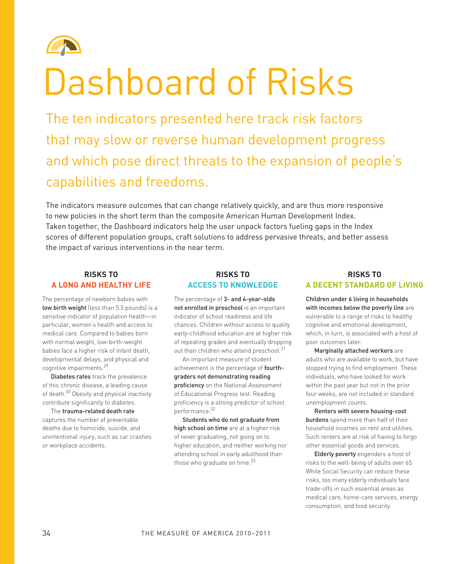

# Dashboard of Risks

The ten indicators presented here track risk factors that may slow or reverse human development progress and which pose direct threats to the expansion of people's capabilities and freedoms.

The indicators measure outcomes that can change relatively quickly, and are thus more responsive to new policies in the short term than the composite American Human Development Index. Taken together, the Dashboard indicators help the user unpack factors fueling gaps in the Index scores of different population groups, craft solutions to address pervasive threats, and better assess the impact of various interventions in the near term.

#### **Risks to a Long and Healthy Life**

The percentage of newborn babies with low birth weight (less than 5.5 pounds) is a sensitive indicator of population health—in particular, women's health and access to medical care. Compared to babies born with normal weight, low-birth-weight babies face a higher risk of infant death, developmental delays, and physical and cognitive impairments.29

Diabetes rates track the prevalence of this chronic disease, a leading cause of death.<sup>30</sup> Obesity and physical inactivity contribute significantly to diabetes.

The trauma-related death rate captures the number of preventable deaths due to homicide, suicide, and unintentional injury, such as car crashes or workplace accidents.

## **Risks to Access to Knowledge**

The percentage of 3- and 4-year-olds not enrolled in preschool is an important indicator of school readiness and life chances. Children without access to quality early-childhood education are at higher risk of repeating grades and eventually dropping out than children who attend preschool.<sup>31</sup>

An important measure of student achievement is the percentage of fourthgraders not demonstrating reading proficiency on the National Assessment of Educational Progress test. Reading proficiency is a strong predictor of school performance.<sup>32</sup>

Students who do not graduate from high school on time are at a higher risk of never graduating, not going on to higher education, and neither working nor attending school in early adulthood than those who graduate on time.<sup>33</sup>

### **Risks to A DECENT Standard of Living**

Children under 6 living in households with incomes below the poverty line are vulnerable to a range of risks to healthy cognitive and emotional development, which, in turn, is associated with a host of poor outcomes later.

Marginally attached workers are adults who are available to work, but have stopped trying to find employment. These individuals, who have looked for work within the past year but not in the prior four weeks, are not included in standard unemployment counts.

Renters with severe housing-cost burdens spend more than half of their household incomes on rent and utilities. Such renters are at risk of having to forgo other essential goods and services.

Elderly poverty engenders a host of risks to the well-being of adults over 65. While Social Security can reduce these risks, too many elderly individuals face trade-offs in such essential areas as medical care, home-care services, energy consumption, and food security.